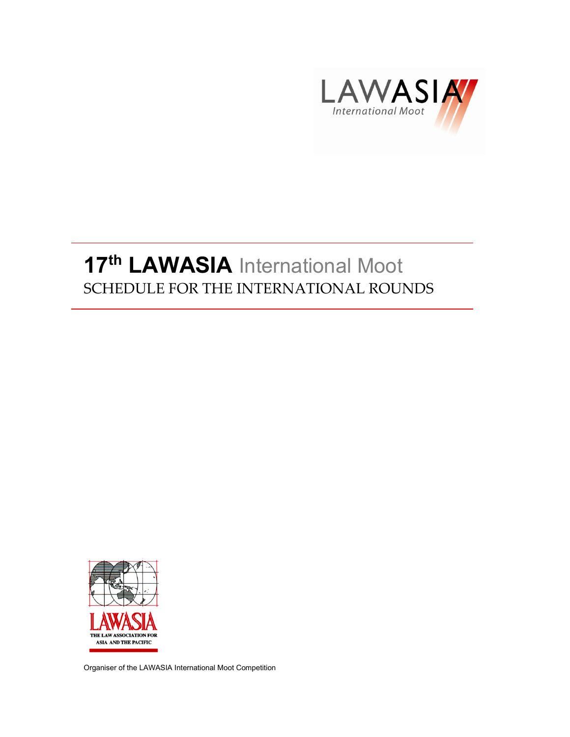

## **17th LAWASIA** International Moot SCHEDULE FOR THE INTERNATIONAL ROUNDS



Organiser of the LAWASIA International Moot Competition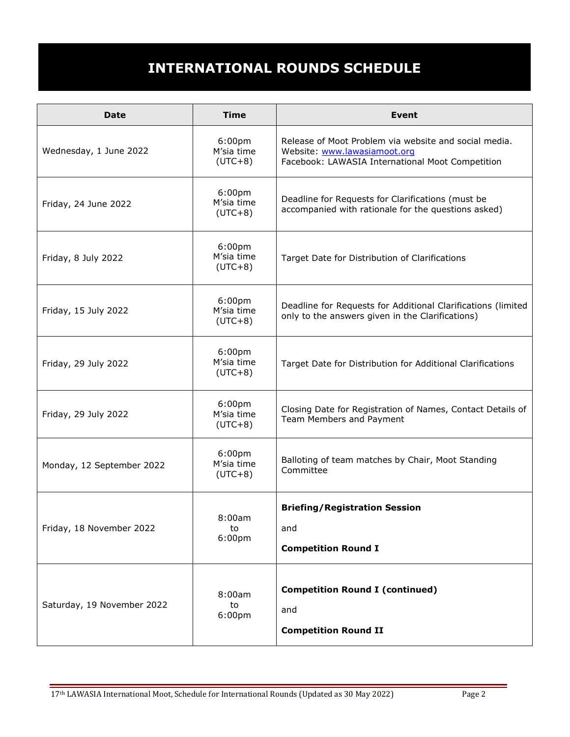## **INTERNATIONAL ROUNDS SCHEDULE**

| <b>Date</b>                | <b>Time</b>                                   | <b>Event</b>                                                                                                                              |
|----------------------------|-----------------------------------------------|-------------------------------------------------------------------------------------------------------------------------------------------|
| Wednesday, 1 June 2022     | 6:00 <sub>pm</sub><br>M'sia time<br>$(UTC+8)$ | Release of Moot Problem via website and social media.<br>Website: www.lawasiamoot.org<br>Facebook: LAWASIA International Moot Competition |
| Friday, 24 June 2022       | 6:00 <sub>pm</sub><br>M'sia time<br>$(UTC+8)$ | Deadline for Requests for Clarifications (must be<br>accompanied with rationale for the questions asked)                                  |
| Friday, 8 July 2022        | 6:00 <sub>pm</sub><br>M'sia time<br>$(UTC+8)$ | Target Date for Distribution of Clarifications                                                                                            |
| Friday, 15 July 2022       | 6:00 <sub>pm</sub><br>M'sia time<br>$(UTC+8)$ | Deadline for Requests for Additional Clarifications (limited<br>only to the answers given in the Clarifications)                          |
| Friday, 29 July 2022       | 6:00 <sub>pm</sub><br>M'sia time<br>$(UTC+8)$ | Target Date for Distribution for Additional Clarifications                                                                                |
| Friday, 29 July 2022       | 6:00 <sub>pm</sub><br>M'sia time<br>$(UTC+8)$ | Closing Date for Registration of Names, Contact Details of<br>Team Members and Payment                                                    |
| Monday, 12 September 2022  | 6:00 <sub>pm</sub><br>M'sia time<br>$(UTC+8)$ | Balloting of team matches by Chair, Moot Standing<br>Committee                                                                            |
| Friday, 18 November 2022   | 8:00am<br>to<br>6:00 <sub>pm</sub>            | <b>Briefing/Registration Session</b><br>and<br><b>Competition Round I</b>                                                                 |
| Saturday, 19 November 2022 | 8:00am<br>to<br>6:00 <sub>pm</sub>            | <b>Competition Round I (continued)</b><br>and<br><b>Competition Round II</b>                                                              |